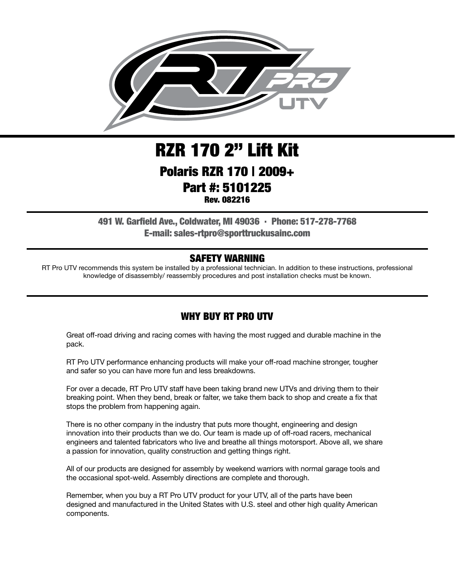

# RZR 170 2" Lift Kit Polaris RZR 170 | 2009+ Part #: 5101225

Rev. 082216

491 W. Garfield Ave., Coldwater, MI 49036 . Phone: 517-278-7768 E-mail: sales-rtpro@sporttruckusainc.com

#### SAFETY WARNING

RT Pro UTV recommends this system be installed by a professional technician. In addition to these instructions, professional knowledge of disassembly/ reassembly procedures and post installation checks must be known.

### WHY BUY RT PRO UTV

Great off-road driving and racing comes with having the most rugged and durable machine in the pack.

RT Pro UTV performance enhancing products will make your off-road machine stronger, tougher and safer so you can have more fun and less breakdowns.

For over a decade, RT Pro UTV staff have been taking brand new UTVs and driving them to their breaking point. When they bend, break or falter, we take them back to shop and create a fix that stops the problem from happening again.

There is no other company in the industry that puts more thought, engineering and design innovation into their products than we do. Our team is made up of off-road racers, mechanical engineers and talented fabricators who live and breathe all things motorsport. Above all, we share a passion for innovation, quality construction and getting things right.

All of our products are designed for assembly by weekend warriors with normal garage tools and the occasional spot-weld. Assembly directions are complete and thorough.

Remember, when you buy a RT Pro UTV product for your UTV, all of the parts have been designed and manufactured in the United States with U.S. steel and other high quality American components.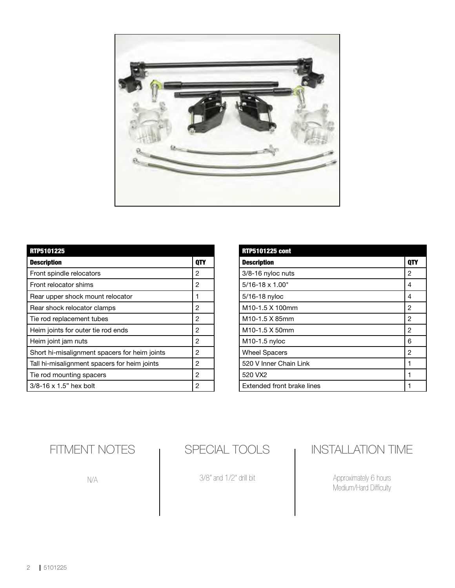

| <b>RTP5101225</b>                             |     |
|-----------------------------------------------|-----|
| <b>Description</b>                            | 0TY |
| Front spindle relocators                      | 2   |
| Front relocator shims                         | 2   |
| Rear upper shock mount relocator              | 1   |
| Rear shock relocator clamps                   | 2   |
| Tie rod replacement tubes                     | 2   |
| Heim joints for outer tie rod ends            | 2   |
| Heim joint jam nuts                           | 2   |
| Short hi-misalignment spacers for heim joints | 2   |
| Tall hi-misalignment spacers for heim joints  | 2   |
| Tie rod mounting spacers                      | 2   |
| $3/8 - 16 \times 1.5"$ hex bolt               | 2   |

| <b>RTP5101225 cont</b>       |            |
|------------------------------|------------|
| <b>Description</b>           | <b>OTY</b> |
| 3/8-16 nyloc nuts            | 2          |
| $5/16 - 18 \times 1.00$ "    | 4          |
| 5/16-18 nyloc                | 4          |
| M <sub>10</sub> -1.5 X 100mm | 2          |
| M10-1.5 X 85mm               | 2          |
| M <sub>10</sub> -1.5 X 50mm  | 2          |
| M10-1.5 nyloc                | 6          |
| <b>Wheel Spacers</b>         | 2          |
| 520 V Inner Chain Link       | 1          |
| 520 VX2                      | 1          |
| Extended front brake lines   |            |

FITMENT NOTES

N/A

SPECIAL TOOLS

3/8" and 1/2" drill bit

## INSTALLATION TIME

Approximately 6 hours Medium/Hard Difficulty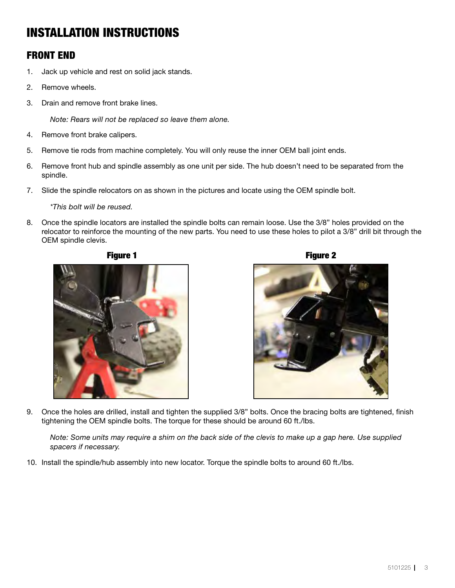## INSTALLATION INSTRUCTIONS

#### FRONT END

- 1. Jack up vehicle and rest on solid jack stands.
- 2. Remove wheels.
- 3. Drain and remove front brake lines.

*Note: Rears will not be replaced so leave them alone.*

- 4. Remove front brake calipers.
- 5. Remove tie rods from machine completely. You will only reuse the inner OEM ball joint ends.
- 6. Remove front hub and spindle assembly as one unit per side. The hub doesn't need to be separated from the spindle.
- 7. Slide the spindle relocators on as shown in the pictures and locate using the OEM spindle bolt.

*\*This bolt will be reused.*

8. Once the spindle locators are installed the spindle bolts can remain loose. Use the 3/8" holes provided on the relocator to reinforce the mounting of the new parts. You need to use these holes to pilot a 3/8" drill bit through the OEM spindle clevis.







9. Once the holes are drilled, install and tighten the supplied 3/8" bolts. Once the bracing bolts are tightened, finish tightening the OEM spindle bolts. The torque for these should be around 60 ft./lbs.

*Note: Some units may require a shim on the back side of the clevis to make up a gap here. Use supplied spacers if necessary.*

10. Install the spindle/hub assembly into new locator. Torque the spindle bolts to around 60 ft./lbs.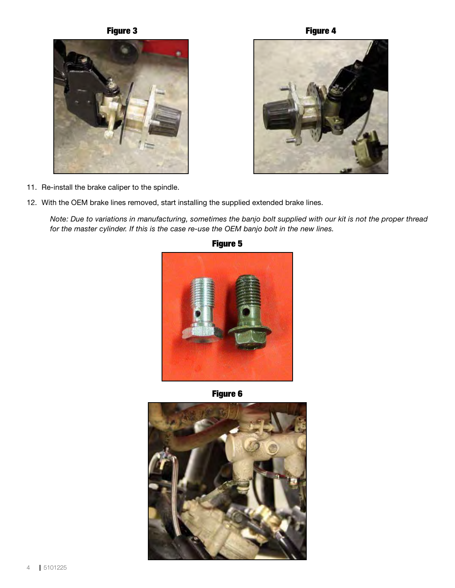





- 11. Re-install the brake caliper to the spindle.
- 12. With the OEM brake lines removed, start installing the supplied extended brake lines.

*Note: Due to variations in manufacturing, sometimes the banjo bolt supplied with our kit is not the proper thread for the master cylinder. If this is the case re-use the OEM banjo bolt in the new lines.*



Figure 5

Figure 6

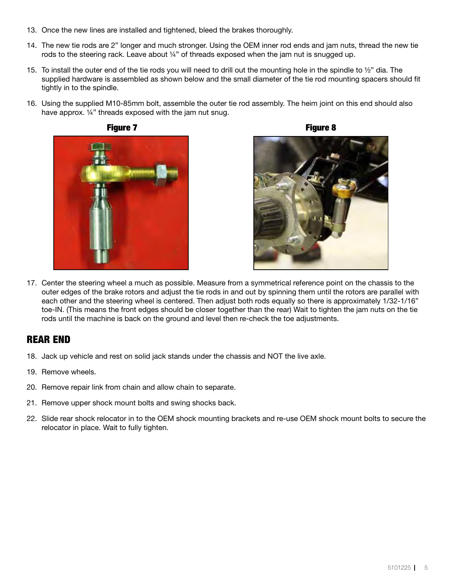- 13. Once the new lines are installed and tightened, bleed the brakes thoroughly.
- 14. The new tie rods are 2" longer and much stronger. Using the OEM inner rod ends and jam nuts, thread the new tie rods to the steering rack. Leave about 1/4" of threads exposed when the jam nut is snugged up.
- 15. To install the outer end of the tie rods you will need to drill out the mounting hole in the spindle to  $\frac{1}{2}$ " dia. The supplied hardware is assembled as shown below and the small diameter of the tie rod mounting spacers should fit tightly in to the spindle.
- 16. Using the supplied M10-85mm bolt, assemble the outer tie rod assembly. The heim joint on this end should also have approx. 1/4" threads exposed with the jam nut snug.







17. Center the steering wheel a much as possible. Measure from a symmetrical reference point on the chassis to the outer edges of the brake rotors and adjust the tie rods in and out by spinning them until the rotors are parallel with each other and the steering wheel is centered. Then adjust both rods equally so there is approximately 1/32-1/16" toe-IN. (This means the front edges should be closer together than the rear) Wait to tighten the jam nuts on the tie rods until the machine is back on the ground and level then re-check the toe adjustments.

### REAR END

- 18. Jack up vehicle and rest on solid jack stands under the chassis and NOT the live axle.
- 19. Remove wheels.
- 20. Remove repair link from chain and allow chain to separate.
- 21. Remove upper shock mount bolts and swing shocks back.
- 22. Slide rear shock relocator in to the OEM shock mounting brackets and re-use OEM shock mount bolts to secure the relocator in place. Wait to fully tighten.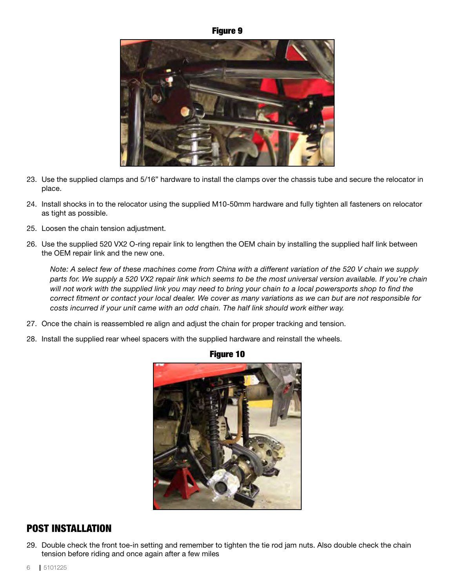#### Figure 9



- 23. Use the supplied clamps and 5/16" hardware to install the clamps over the chassis tube and secure the relocator in place.
- 24. Install shocks in to the relocator using the supplied M10-50mm hardware and fully tighten all fasteners on relocator as tight as possible.
- 25. Loosen the chain tension adjustment.
- 26. Use the supplied 520 VX2 O-ring repair link to lengthen the OEM chain by installing the supplied half link between the OEM repair link and the new one.

*Note: A select few of these machines come from China with a different variation of the 520 V chain we supply parts for. We supply a 520 VX2 repair link which seems to be the most universal version available. If you're chain will not work with the supplied link you may need to bring your chain to a local powersports shop to find the correct fitment or contact your local dealer. We cover as many variations as we can but are not responsible for costs incurred if your unit came with an odd chain. The half link should work either way.*

- 27. Once the chain is reassembled re align and adjust the chain for proper tracking and tension.
- 28. Install the supplied rear wheel spacers with the supplied hardware and reinstall the wheels.



#### Figure 10

#### POST INSTALLATION

29. Double check the front toe-in setting and remember to tighten the tie rod jam nuts. Also double check the chain tension before riding and once again after a few miles